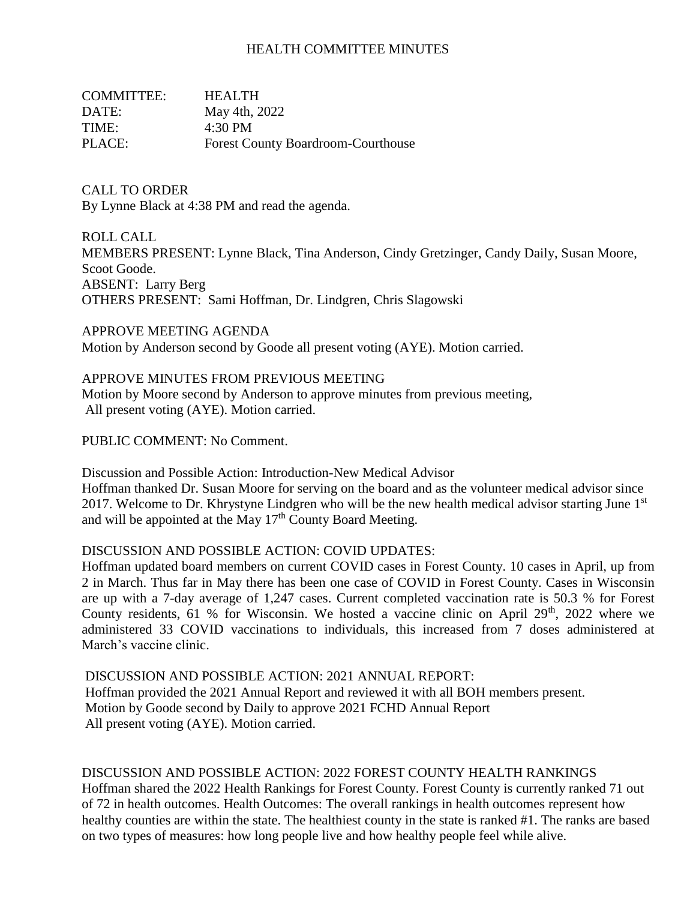## HEALTH COMMITTEE MINUTES

| <b>COMMITTEE:</b> | <b>HEALTH</b>                             |
|-------------------|-------------------------------------------|
| DATE:             | May 4th, 2022                             |
| TIME:             | 4:30 PM                                   |
| PLACE:            | <b>Forest County Boardroom-Courthouse</b> |

CALL TO ORDER By Lynne Black at 4:38 PM and read the agenda.

ROLL CALL MEMBERS PRESENT: Lynne Black, Tina Anderson, Cindy Gretzinger, Candy Daily, Susan Moore, Scoot Goode. ABSENT: Larry Berg OTHERS PRESENT: Sami Hoffman, Dr. Lindgren, Chris Slagowski

APPROVE MEETING AGENDA Motion by Anderson second by Goode all present voting (AYE). Motion carried.

#### APPROVE MINUTES FROM PREVIOUS MEETING

Motion by Moore second by Anderson to approve minutes from previous meeting, All present voting (AYE). Motion carried.

PUBLIC COMMENT: No Comment.

Discussion and Possible Action: Introduction-New Medical Advisor Hoffman thanked Dr. Susan Moore for serving on the board and as the volunteer medical advisor since 2017. Welcome to Dr. Khrystyne Lindgren who will be the new health medical advisor starting June  $1<sup>st</sup>$ and will be appointed at the May 17<sup>th</sup> County Board Meeting.

## DISCUSSION AND POSSIBLE ACTION: COVID UPDATES:

Hoffman updated board members on current COVID cases in Forest County. 10 cases in April, up from 2 in March. Thus far in May there has been one case of COVID in Forest County. Cases in Wisconsin are up with a 7-day average of 1,247 cases. Current completed vaccination rate is 50.3 % for Forest County residents, 61 % for Wisconsin. We hosted a vaccine clinic on April  $29<sup>th</sup>$ , 2022 where we administered 33 COVID vaccinations to individuals, this increased from 7 doses administered at March's vaccine clinic.

DISCUSSION AND POSSIBLE ACTION: 2021 ANNUAL REPORT: Hoffman provided the 2021 Annual Report and reviewed it with all BOH members present. Motion by Goode second by Daily to approve 2021 FCHD Annual Report All present voting (AYE). Motion carried.

#### DISCUSSION AND POSSIBLE ACTION: 2022 FOREST COUNTY HEALTH RANKINGS

Hoffman shared the 2022 Health Rankings for Forest County. Forest County is currently ranked 71 out of 72 in health outcomes. Health Outcomes: The overall rankings in health outcomes represent how healthy counties are within the state. The healthiest county in the state is ranked #1. The ranks are based on two types of measures: how long people live and how healthy people feel while alive.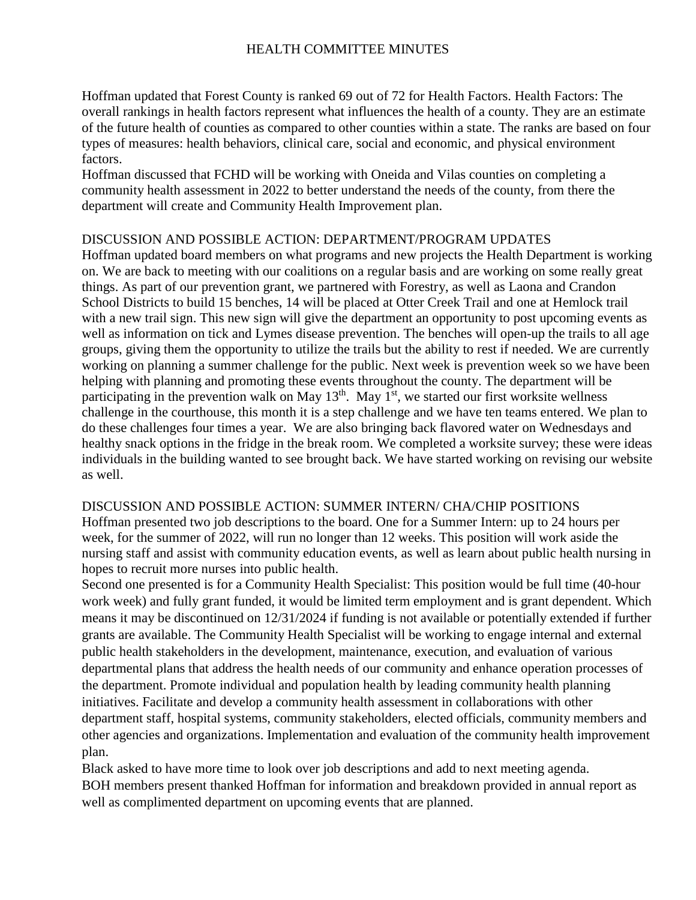# HEALTH COMMITTEE MINUTES

Hoffman updated that Forest County is ranked 69 out of 72 for Health Factors. Health Factors: The overall rankings in health factors represent what influences the health of a county. They are an estimate of the future health of counties as compared to other counties within a state. The ranks are based on four types of measures: health behaviors, clinical care, social and economic, and physical environment factors.

Hoffman discussed that FCHD will be working with Oneida and Vilas counties on completing a community health assessment in 2022 to better understand the needs of the county, from there the department will create and Community Health Improvement plan.

## DISCUSSION AND POSSIBLE ACTION: DEPARTMENT/PROGRAM UPDATES

Hoffman updated board members on what programs and new projects the Health Department is working on. We are back to meeting with our coalitions on a regular basis and are working on some really great things. As part of our prevention grant, we partnered with Forestry, as well as Laona and Crandon School Districts to build 15 benches, 14 will be placed at Otter Creek Trail and one at Hemlock trail with a new trail sign. This new sign will give the department an opportunity to post upcoming events as well as information on tick and Lymes disease prevention. The benches will open-up the trails to all age groups, giving them the opportunity to utilize the trails but the ability to rest if needed. We are currently working on planning a summer challenge for the public. Next week is prevention week so we have been helping with planning and promoting these events throughout the county. The department will be participating in the prevention walk on May  $13<sup>th</sup>$ . May  $1<sup>st</sup>$ , we started our first worksite wellness challenge in the courthouse, this month it is a step challenge and we have ten teams entered. We plan to do these challenges four times a year. We are also bringing back flavored water on Wednesdays and healthy snack options in the fridge in the break room. We completed a worksite survey; these were ideas individuals in the building wanted to see brought back. We have started working on revising our website as well.

## DISCUSSION AND POSSIBLE ACTION: SUMMER INTERN/ CHA/CHIP POSITIONS

Hoffman presented two job descriptions to the board. One for a Summer Intern: up to 24 hours per week, for the summer of 2022, will run no longer than 12 weeks. This position will work aside the nursing staff and assist with community education events, as well as learn about public health nursing in hopes to recruit more nurses into public health.

Second one presented is for a Community Health Specialist: This position would be full time (40-hour work week) and fully grant funded, it would be limited term employment and is grant dependent. Which means it may be discontinued on 12/31/2024 if funding is not available or potentially extended if further grants are available. The Community Health Specialist will be working to engage internal and external public health stakeholders in the development, maintenance, execution, and evaluation of various departmental plans that address the health needs of our community and enhance operation processes of the department. Promote individual and population health by leading community health planning initiatives. Facilitate and develop a community health assessment in collaborations with other department staff, hospital systems, community stakeholders, elected officials, community members and other agencies and organizations. Implementation and evaluation of the community health improvement plan.

Black asked to have more time to look over job descriptions and add to next meeting agenda. BOH members present thanked Hoffman for information and breakdown provided in annual report as well as complimented department on upcoming events that are planned.